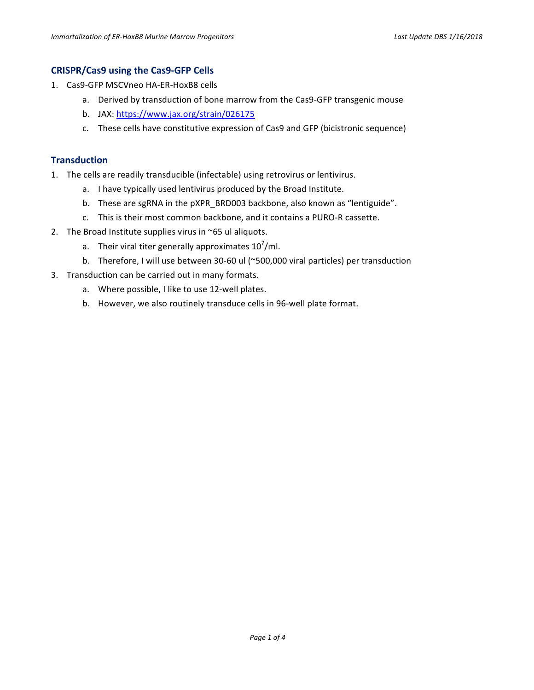#### **CRISPR/Cas9 using the Cas9-GFP Cells**

- 1. Cas9-GFP MSCVneo HA-ER-HoxB8 cells
	- a. Derived by transduction of bone marrow from the Cas9-GFP transgenic mouse
	- b. JAX: https://www.jax.org/strain/026175
	- c. These cells have constitutive expression of Cas9 and GFP (bicistronic sequence)

### **Transduction**

- 1. The cells are readily transducible (infectable) using retrovirus or lentivirus.
	- a. I have typically used lentivirus produced by the Broad Institute.
	- b. These are sgRNA in the pXPR\_BRD003 backbone, also known as "lentiguide".
	- c. This is their most common backbone, and it contains a PURO-R cassette.
- 2. The Broad Institute supplies virus in  $\sim$  65 ul aliquots.
	- a. Their viral titer generally approximates  $10^7$ /ml.
	- b. Therefore, I will use between 30-60 ul (~500,000 viral particles) per transduction
- 3. Transduction can be carried out in many formats.
	- a. Where possible, I like to use 12-well plates.
	- b. However, we also routinely transduce cells in 96-well plate format.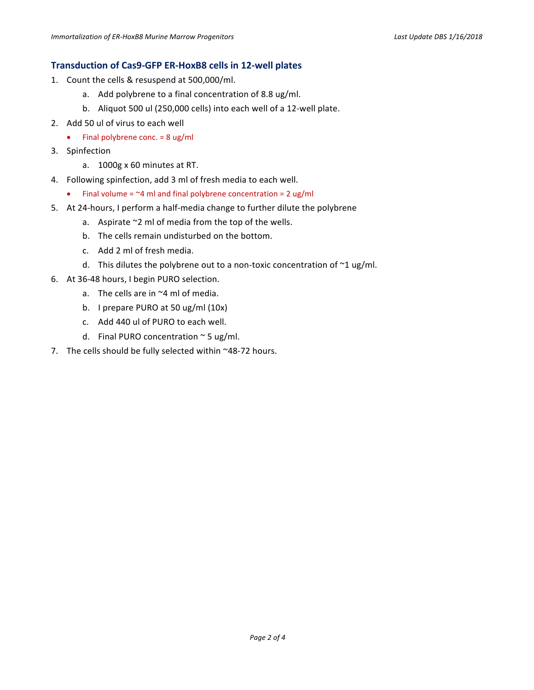### **Transduction of Cas9-GFP ER-HoxB8 cells in 12-well plates**

- 1. Count the cells & resuspend at 500,000/ml.
	- a. Add polybrene to a final concentration of 8.8 ug/ml.
	- b. Aliquot 500 ul (250,000 cells) into each well of a 12-well plate.
- 2. Add 50 ul of virus to each well
	- Final polybrene conc.  $= 8 \text{ ug/ml}$
- 3. Spinfection
	- a. 1000g x 60 minutes at RT.
- 4. Following spinfection, add 3 ml of fresh media to each well.
	- Final volume =  $\sim$ 4 ml and final polybrene concentration = 2 ug/ml
- 5. At 24-hours, I perform a half-media change to further dilute the polybrene
	- a. Aspirate  $\sim$ 2 ml of media from the top of the wells.
	- b. The cells remain undisturbed on the bottom.
	- c. Add 2 ml of fresh media.
	- d. This dilutes the polybrene out to a non-toxic concentration of  $\sim$ 1 ug/ml.
- 6. At 36-48 hours, I begin PURO selection.
	- a. The cells are in  $\sim$ 4 ml of media.
	- b. I prepare PURO at 50 ug/ml  $(10x)$
	- c. Add 440 ul of PURO to each well.
	- d. Final PURO concentration  $\sim$  5 ug/ml.
- 7. The cells should be fully selected within  $\sim$ 48-72 hours.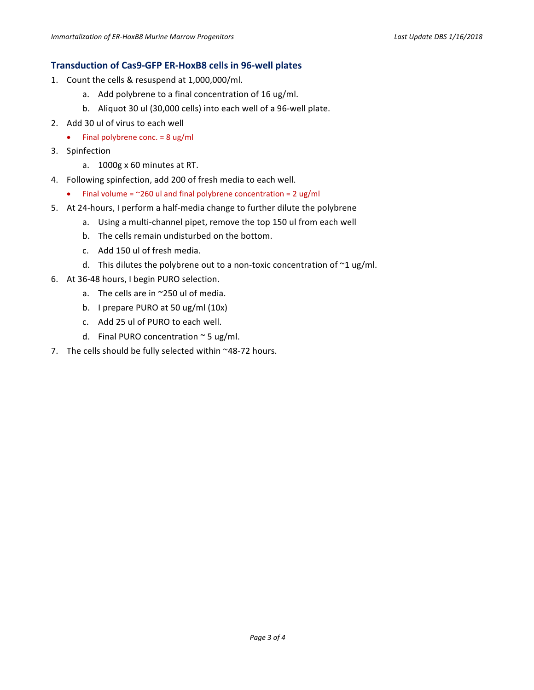# **Transduction of Cas9-GFP ER-HoxB8 cells in 96-well plates**

- 1. Count the cells & resuspend at 1,000,000/ml.
	- a. Add polybrene to a final concentration of 16 ug/ml.
	- b. Aliquot 30 ul (30,000 cells) into each well of a 96-well plate.
- 2. Add 30 ul of virus to each well
	- Final polybrene conc.  $= 8$  ug/ml
- 3. Spinfection
	- a. 1000g x 60 minutes at RT.
- 4. Following spinfection, add 200 of fresh media to each well.
	- Final volume =  $^{\sim}260$  ul and final polybrene concentration = 2 ug/ml
- 5. At 24-hours, I perform a half-media change to further dilute the polybrene
	- a. Using a multi-channel pipet, remove the top 150 ul from each well
	- b. The cells remain undisturbed on the bottom.
	- c. Add 150 ul of fresh media.
	- d. This dilutes the polybrene out to a non-toxic concentration of  $\sim$ 1 ug/ml.
- 6. At 36-48 hours, I begin PURO selection.
	- a. The cells are in  $\sim$ 250 ul of media.
	- b. I prepare PURO at 50 ug/ml  $(10x)$
	- c. Add 25 ul of PURO to each well.
	- d. Final PURO concentration  $\sim$  5 ug/ml.
- 7. The cells should be fully selected within  $\sim$ 48-72 hours.